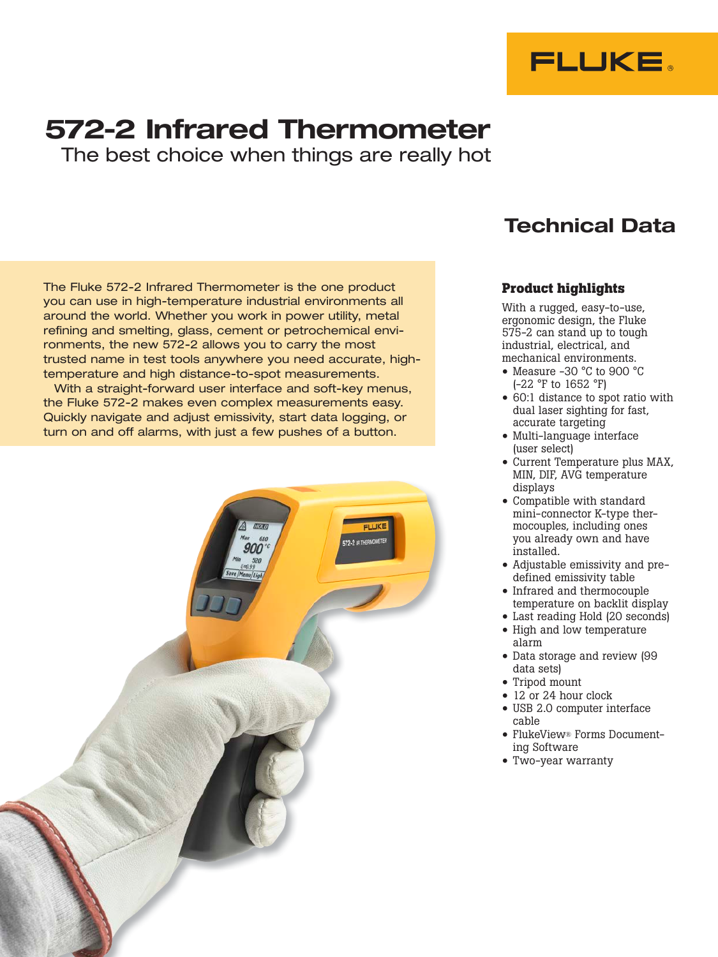

# 572-2 Infrared Thermometer

The best choice when things are really hot

The Fluke 572-2 Infrared Thermometer is the one product you can use in high-temperature industrial environments all around the world. Whether you work in power utility, metal refining and smelting, glass, cement or petrochemical environments, the new 572-2 allows you to carry the most trusted name in test tools anywhere you need accurate, hightemperature and high distance-to-spot measurements.

With a straight-forward user interface and soft-key menus, the Fluke 572-2 makes even complex measurements easy. Quickly navigate and adjust emissivity, start data logging, or turn on and off alarms, with just a few pushes of a button.



### Technical Data

#### **Product highlights**

With a rugged, easy-to-use, ergonomic design, the Fluke 575-2 can stand up to tough industrial, electrical, and mechanical environments.

- Measure -30 °C to 900 °C (-22 °F to 1652 °F)
- 60:1 distance to spot ratio with dual laser sighting for fast, accurate targeting
- Multi-language interface (user select)
- Current Temperature plus MAX, MIN, DIF, AVG temperature displays
- Compatible with standard mini-connector K-type thermocouples, including ones you already own and have installed.
- Adjustable emissivity and predefined emissivity table
- Infrared and thermocouple temperature on backlit display
- Last reading Hold (20 seconds) • High and low temperature alarm
- Data storage and review (99 data sets)
- Tripod mount
- 12 or 24 hour clock
- USB 2.0 computer interface cable
- FlukeView® Forms Documenting Software
- Two-year warranty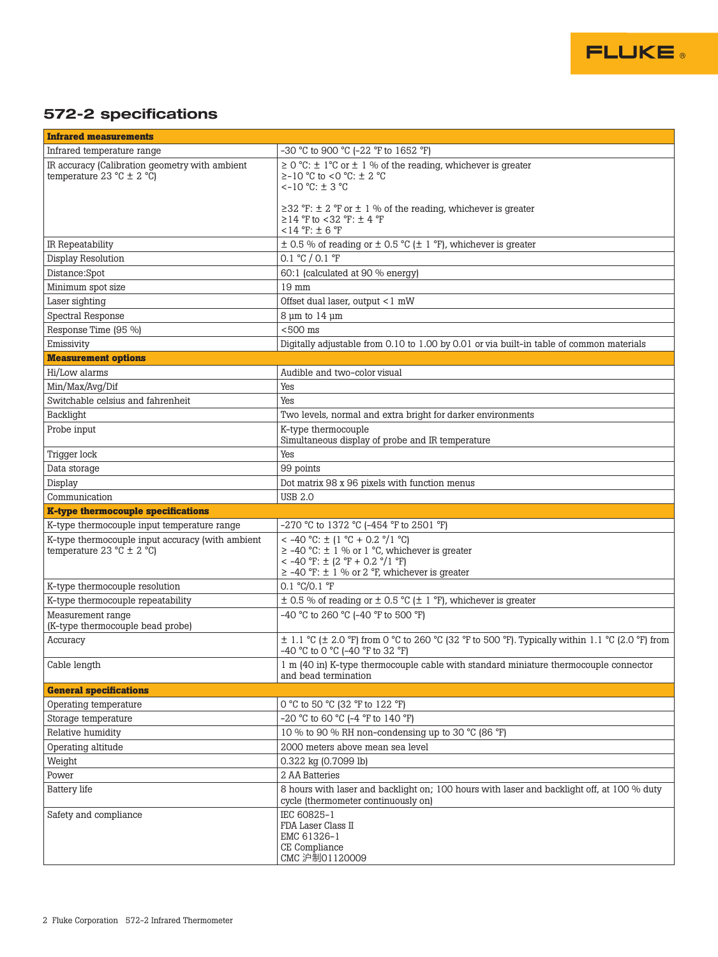

### 572-2 specifications

| <b>Infrared measurements</b>                                                      |                                                                                                                                                                                              |  |
|-----------------------------------------------------------------------------------|----------------------------------------------------------------------------------------------------------------------------------------------------------------------------------------------|--|
| Infrared temperature range                                                        | -30 °C to 900 °C (-22 °F to 1652 °F)                                                                                                                                                         |  |
| IR accuracy (Calibration geometry with ambient<br>temperature 23 °C $\pm$ 2 °C)   | $\geq$ 0 °C: $\pm$ 1°C or $\pm$ 1 % of the reading, whichever is greater<br>≥-10 °C to <0 °C: ± 2 °C<br>$<-10$ °C: $\pm$ 3 °C                                                                |  |
|                                                                                   | $\geq$ 32 °F: $\pm$ 2 °F or $\pm$ 1 % of the reading, whichever is greater<br>$≥14$ °F to <32 °F: ± 4 °F<br>$<$ 14 °F: $\pm$ 6 °F                                                            |  |
| IR Repeatability                                                                  | $\pm$ 0.5 % of reading or $\pm$ 0.5 °C ( $\pm$ 1 °F), whichever is greater                                                                                                                   |  |
| Display Resolution                                                                | 0.1 °C / 0.1 °F                                                                                                                                                                              |  |
| Distance:Spot                                                                     | 60:1 (calculated at 90 % energy)                                                                                                                                                             |  |
| Minimum spot size                                                                 | $19$ mm                                                                                                                                                                                      |  |
| Laser sighting                                                                    | Offset dual laser, output <1 mW                                                                                                                                                              |  |
| Spectral Response                                                                 | $8 \mu m$ to $14 \mu m$                                                                                                                                                                      |  |
| Response Time (95 %)                                                              | $< 500$ ms                                                                                                                                                                                   |  |
| Emissivity                                                                        | Digitally adjustable from 0.10 to 1.00 by 0.01 or via built-in table of common materials                                                                                                     |  |
| <b>Measurement options</b>                                                        |                                                                                                                                                                                              |  |
| Hi/Low alarms                                                                     | Audible and two-color visual                                                                                                                                                                 |  |
| Min/Max/Avg/Dif                                                                   | Yes                                                                                                                                                                                          |  |
| Switchable celsius and fahrenheit                                                 | Yes                                                                                                                                                                                          |  |
| Backlight                                                                         | Two levels, normal and extra bright for darker environments                                                                                                                                  |  |
| Probe input                                                                       | K-type thermocouple<br>Simultaneous display of probe and IR temperature                                                                                                                      |  |
| Trigger lock                                                                      | Yes                                                                                                                                                                                          |  |
| Data storage                                                                      | 99 points                                                                                                                                                                                    |  |
| Display                                                                           | Dot matrix 98 x 96 pixels with function menus                                                                                                                                                |  |
| Communication                                                                     | <b>USB 2.0</b>                                                                                                                                                                               |  |
| <b>K-type thermocouple specifications</b>                                         |                                                                                                                                                                                              |  |
| K-type thermocouple input temperature range                                       | -270 °C to 1372 °C (-454 °F to 2501 °F)                                                                                                                                                      |  |
| K-type thermocouple input accuracy (with ambient<br>temperature 23 °C $\pm$ 2 °C) | < -40 °C: $\pm$ (1 °C + 0.2 °/1 °C)<br>$\ge$ -40 °C: $\pm$ 1 % or 1 °C, whichever is greater<br>< -40 °F: $\pm$ (2 °F + 0.2 °/1 °F)<br>$\ge$ -40 °F: $\pm$ 1 % or 2 °F, whichever is greater |  |
| K-type thermocouple resolution                                                    | 0.1 °C/0.1 °F                                                                                                                                                                                |  |
| K-type thermocouple repeatability                                                 | $\pm$ 0.5 % of reading or $\pm$ 0.5 °C ( $\pm$ 1 °F), whichever is greater                                                                                                                   |  |
| Measurement range                                                                 | -40 °C to 260 °C (-40 °F to 500 °F)                                                                                                                                                          |  |
| (K-type thermocouple bead probe)                                                  |                                                                                                                                                                                              |  |
| Accuracy                                                                          | $\pm$ 1.1 °C ( $\pm$ 2.0 °F) from 0 °C to 260 °C (32 °F to 500 °F). Typically within 1.1 °C (2.0 °F) from<br>-40 °C to 0 °C (-40 °F to 32 °F)                                                |  |
| Cable length                                                                      | 1 m (40 in) K-type thermocouple cable with standard miniature thermocouple connector<br>and bead termination                                                                                 |  |
| <b>General specifications</b>                                                     |                                                                                                                                                                                              |  |
| Operating temperature                                                             | 0 °C to 50 °C (32 °F to 122 °F)                                                                                                                                                              |  |
| Storage temperature                                                               | -20 °C to 60 °C (-4 °F to 140 °F)                                                                                                                                                            |  |
| Relative humidity                                                                 | 10 % to 90 % RH non-condensing up to 30 °C (86 °F)                                                                                                                                           |  |
| Operating altitude                                                                | 2000 meters above mean sea level                                                                                                                                                             |  |
| Weight                                                                            | 0.322 kg (0.7099 lb)                                                                                                                                                                         |  |
| Power                                                                             | 2 AA Batteries                                                                                                                                                                               |  |
| <b>Battery</b> life                                                               | 8 hours with laser and backlight on; 100 hours with laser and backlight off, at 100 % duty<br>cycle (thermometer continuously on)                                                            |  |
| Safety and compliance                                                             | IEC 60825-1<br>FDA Laser Class II<br>EMC 61326-1<br>CE Compliance<br>CMC 沪制01120009                                                                                                          |  |